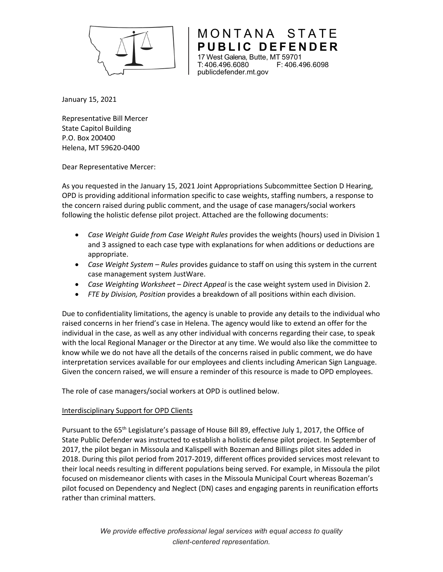

**PUBLIC DEFENDER**  17 West Galena, Butte, MT 59701 F: 406.496.6098 publicdefender.mt.gov

MONTANA STATE

January 15, 2021

Representative Bill Mercer State Capitol Building P.O. Box 200400 Helena, MT 59620-0400

Dear Representative Mercer:

As you requested in the January 15, 2021 Joint Appropriations Subcommittee Section D Hearing, OPD is providing additional information specific to case weights, staffing numbers, a response to the concern raised during public comment, and the usage of case managers/social workers following the holistic defense pilot project. Attached are the following documents:

- *Case Weight Guide from Case Weight Rules* provides the weights (hours) used in Division 1 and 3 assigned to each case type with explanations for when additions or deductions are appropriate.
- *Case Weight System – Rules* provides guidance to staff on using this system in the current case management system JustWare.
- *Case Weighting Worksheet – Direct Appeal* is the case weight system used in Division 2.
- *FTE by Division, Position* provides a breakdown of all positions within each division.

Due to confidentiality limitations, the agency is unable to provide any details to the individual who raised concerns in her friend's case in Helena. The agency would like to extend an offer for the individual in the case, as well as any other individual with concerns regarding their case, to speak with the local Regional Manager or the Director at any time. We would also like the committee to know while we do not have all the details of the concerns raised in public comment, we do have interpretation services available for our employees and clients including American Sign Language. Given the concern raised, we will ensure a reminder of this resource is made to OPD employees.

The role of case managers/social workers at OPD is outlined below.

## Interdisciplinary Support for OPD Clients

Pursuant to the 65<sup>th</sup> Legislature's passage of House Bill 89, effective July 1, 2017, the Office of State Public Defender was instructed to establish a holistic defense pilot project. In September of 2017, the pilot began in Missoula and Kalispell with Bozeman and Billings pilot sites added in 2018. During this pilot period from 2017-2019, different offices provided services most relevant to their local needs resulting in different populations being served. For example, in Missoula the pilot focused on misdemeanor clients with cases in the Missoula Municipal Court whereas Bozeman's pilot focused on Dependency and Neglect (DN) cases and engaging parents in reunification efforts rather than criminal matters.

> *We provide effective professional legal services with equal access to quality client-centered representation.*